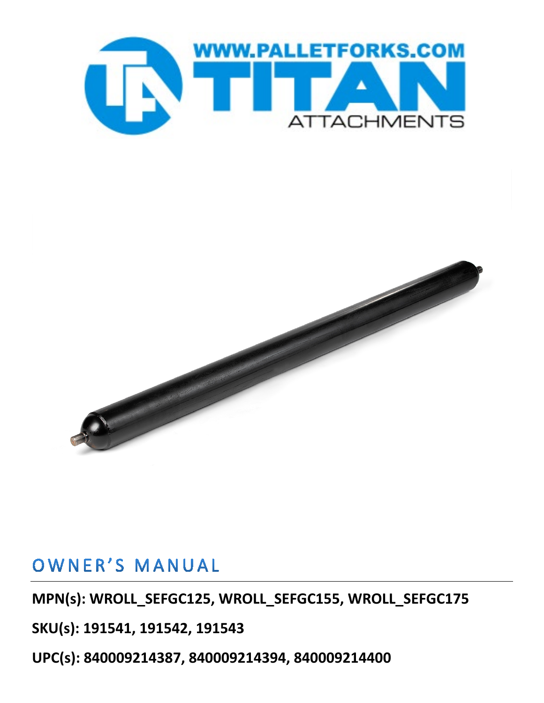

# OWNER'S MANUAL

**MPN(s): WROLL\_SEFGC125, WROLL\_SEFGC155, WROLL\_SEFGC175**

**SKU(s): 191541, 191542, 191543**

**UPC(s): 840009214387, 840009214394, 840009214400**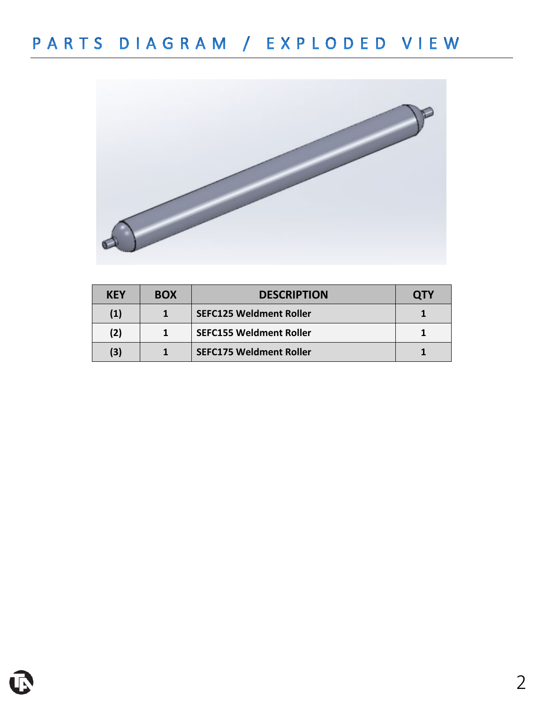

| <b>KEY</b> | <b>BOX</b> | <b>DESCRIPTION</b>             | OTY |
|------------|------------|--------------------------------|-----|
| (1)        |            | <b>SEFC125 Weldment Roller</b> |     |
| (2)        |            | <b>SEFC155 Weldment Roller</b> |     |
| (3)        |            | <b>SEFC175 Weldment Roller</b> |     |

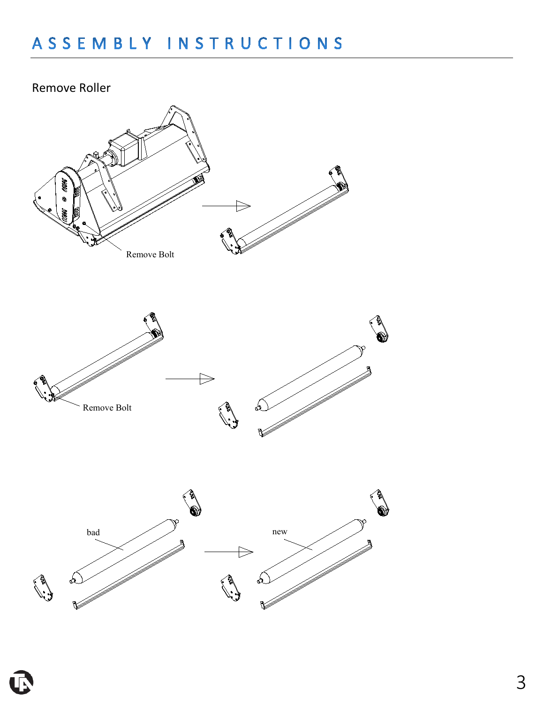### Remove Roller





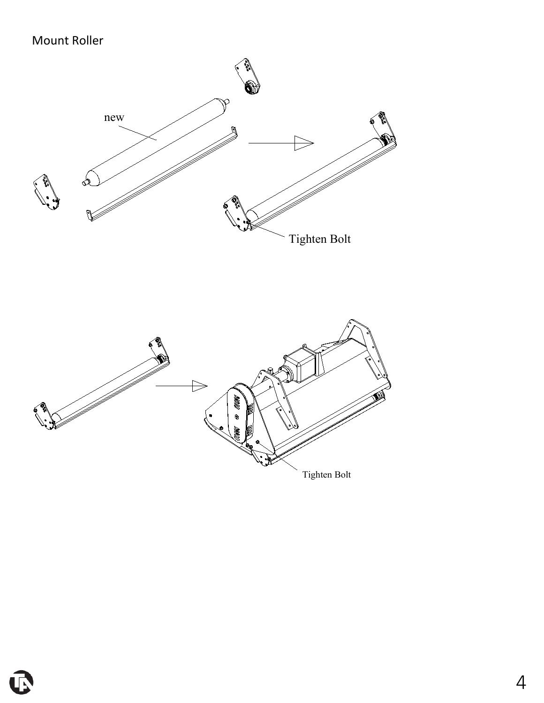## Mount Roller